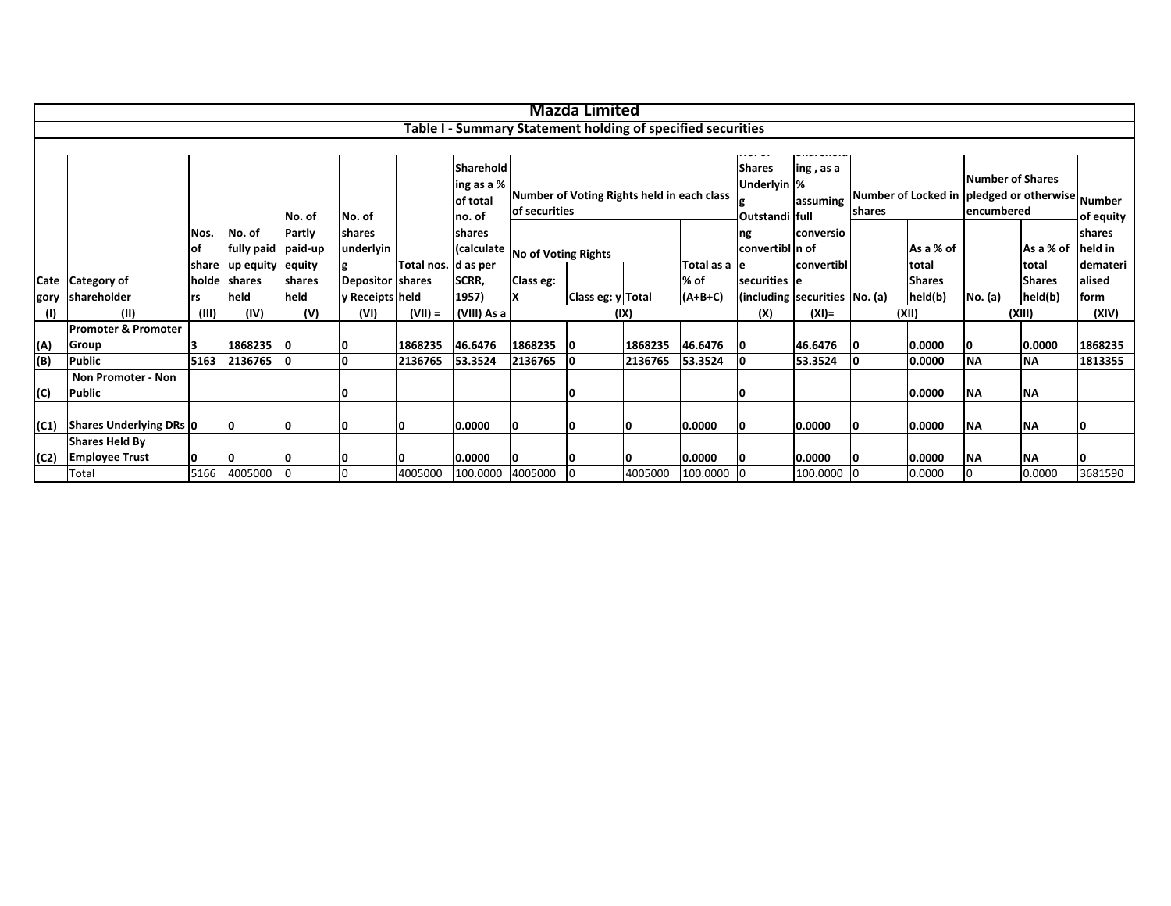|      |                                                                   |          |                    |        |                  |                     |                                                             |                     | <b>Mazda Limited</b>                                        |         |               |                                                                         |                               |                |               |                                                                                           |               |          |
|------|-------------------------------------------------------------------|----------|--------------------|--------|------------------|---------------------|-------------------------------------------------------------|---------------------|-------------------------------------------------------------|---------|---------------|-------------------------------------------------------------------------|-------------------------------|----------------|---------------|-------------------------------------------------------------------------------------------|---------------|----------|
|      |                                                                   |          |                    |        |                  |                     |                                                             |                     |                                                             |         |               |                                                                         |                               |                |               |                                                                                           |               |          |
|      |                                                                   |          |                    |        |                  |                     | Table I - Summary Statement holding of specified securities |                     |                                                             |         |               |                                                                         |                               |                |               |                                                                                           |               |          |
|      |                                                                   |          |                    |        |                  |                     |                                                             |                     |                                                             |         |               |                                                                         |                               |                |               |                                                                                           |               |          |
|      | Sharehold<br>ing as a %<br>of total<br>No. of<br>no. of<br>No. of |          |                    |        |                  |                     |                                                             |                     | Number of Voting Rights held in each class<br>of securities |         |               | <b>Shares</b><br>ing, as a<br>Underlyin %<br>assuming<br>Outstandi full |                               | <b>Ishares</b> |               | Number of Shares<br>Number of Locked in <i>pledged or otherwise</i> Number<br>lencumbered | of equity     |          |
|      |                                                                   | Nos.     | No. of             | Partly | shares           |                     | <b>Ishares</b>                                              |                     |                                                             |         |               | ng                                                                      | <b>conversio</b>              |                |               |                                                                                           |               | shares   |
|      |                                                                   | lot      | fully paid paid-up |        | underlyin        |                     | (calculate                                                  | No of Voting Rights |                                                             |         |               | convertibl n of                                                         |                               |                | As a % of     | As a % of                                                                                 |               | held in  |
|      |                                                                   | share    | up equity equity   |        |                  | Total nos. d as per |                                                             |                     |                                                             |         | Total as a le |                                                                         | convertibl                    |                | Itotal        |                                                                                           | total         | demateri |
|      | Cate Category of                                                  | holde    | shares             | shares | Depositor shares |                     | SCRR,                                                       | Class eg:           |                                                             |         | % of          | securities le                                                           |                               |                | <b>Shares</b> |                                                                                           | <b>Shares</b> | alised   |
|      | gory shareholder                                                  | rs       | held               | held   | y Receipts held  |                     | 1957)                                                       | ΙX                  | Class eg: y Total                                           |         | $(A+B+C)$     |                                                                         | (including securities No. (a) |                | held(b)       | No. (a)                                                                                   | held(b)       | form     |
| (1)  | (II)                                                              | (III)    | (IV)               | (V)    | (VI)             | $(VII) =$           | (VIII) As a                                                 |                     |                                                             | (IX)    |               | (X)                                                                     | $(XI) =$                      |                | (XII)         |                                                                                           | (XIII)        | (XIV)    |
|      | Promoter & Promoter                                               |          |                    |        |                  |                     |                                                             |                     |                                                             |         |               |                                                                         |                               |                |               |                                                                                           |               |          |
| (A)  | Group                                                             | 13       | 1868235            | 10     |                  | 1868235             | 46.6476                                                     | 1868235 0           |                                                             | 1868235 | 46.6476       | 0                                                                       | 46.6476                       | 10             | 0.0000        | 10                                                                                        | 0.0000        | 1868235  |
| (B)  | <b>Public</b>                                                     | 5163     | 2136765            | 0      |                  | 2136765             | 53.3524                                                     | 2136765 0           |                                                             | 2136765 | 53.3524       |                                                                         | 53.3524                       |                | 0.0000        | <b>NA</b>                                                                                 | <b>NA</b>     | 1813355  |
|      | <b>Non Promoter - Non</b>                                         |          |                    |        |                  |                     |                                                             |                     |                                                             |         |               |                                                                         |                               |                |               |                                                                                           |               |          |
| (C)  | Public                                                            |          |                    |        |                  |                     |                                                             |                     | 0                                                           |         |               |                                                                         |                               |                | 0.0000        | <b>NA</b>                                                                                 | <b>NA</b>     |          |
| (C1) | Shares Underlying DRs 0                                           |          | <b>O</b>           |        |                  | o                   | 0.0000                                                      | 10                  | 10                                                          | 10      | 0.0000        | 10                                                                      | 0.0000                        | 10             | 0.0000        | <b>NA</b>                                                                                 | <b>NA</b>     | 10       |
|      | <b>Shares Held By</b>                                             |          |                    |        |                  |                     |                                                             |                     |                                                             |         |               |                                                                         |                               |                |               |                                                                                           |               |          |
| (C2) | <b>Employee Trust</b>                                             | <b>O</b> | 10                 |        |                  | o                   | 0.0000                                                      |                     | 10                                                          | 10      | 0.0000        |                                                                         | 0.0000                        | 10             | 0.0000        | <b>NA</b>                                                                                 | <b>NA</b>     | 0        |
|      | Total                                                             | 5166     | 4005000            |        |                  | 4005000             | 100.0000                                                    | 4005000             |                                                             | 4005000 | 100.0000      |                                                                         | 100.0000 0                    |                | 0.0000        | $\overline{0}$                                                                            | 0.0000        | 3681590  |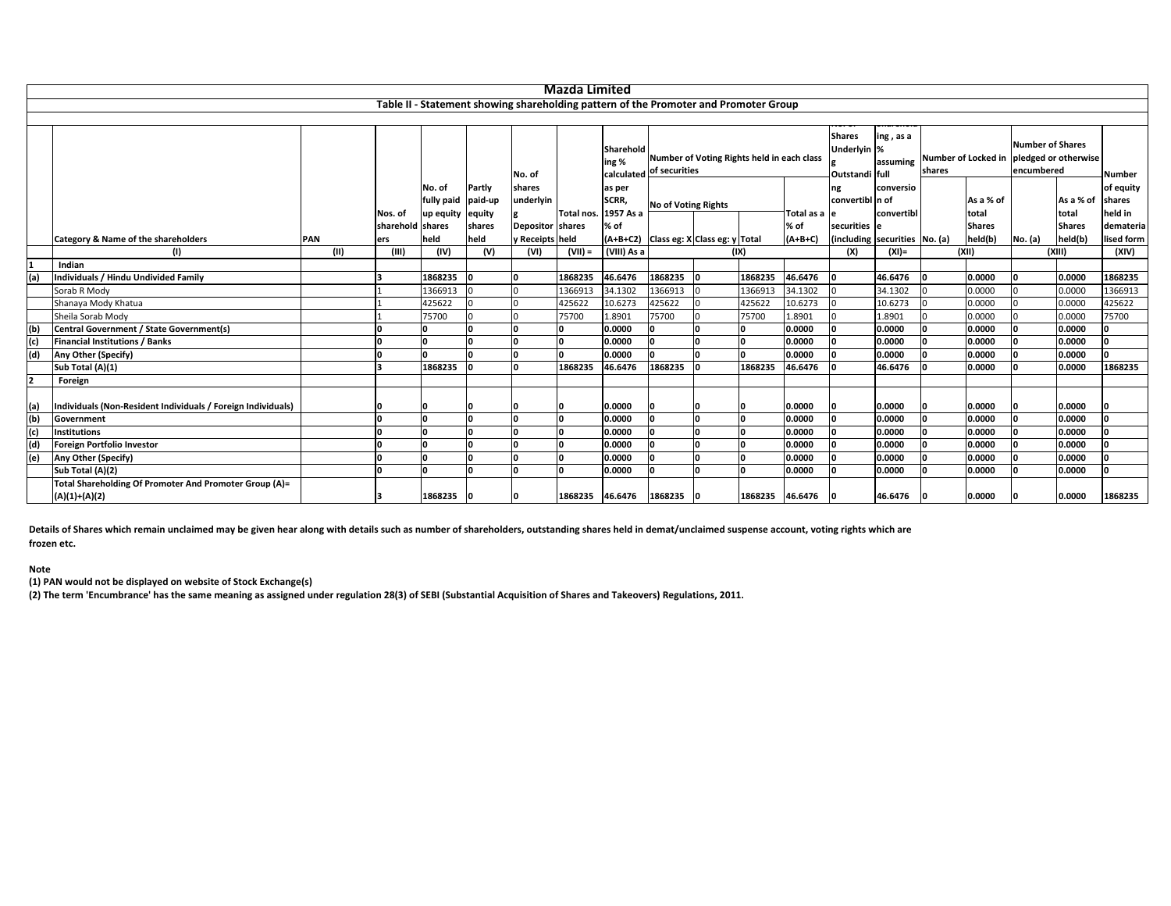|     |                                                              |            |                  |            |         |                         | <b>Mazda Limited</b> |                                                                                      |                            |                                        |                                            |                   |                                                |                       |        |               |                                       |                                          |            |
|-----|--------------------------------------------------------------|------------|------------------|------------|---------|-------------------------|----------------------|--------------------------------------------------------------------------------------|----------------------------|----------------------------------------|--------------------------------------------|-------------------|------------------------------------------------|-----------------------|--------|---------------|---------------------------------------|------------------------------------------|------------|
|     |                                                              |            |                  |            |         |                         |                      | Table II - Statement showing shareholding pattern of the Promoter and Promoter Group |                            |                                        |                                            |                   |                                                |                       |        |               |                                       |                                          |            |
|     |                                                              |            |                  |            |         |                         |                      |                                                                                      |                            |                                        |                                            |                   |                                                |                       |        |               |                                       |                                          |            |
|     |                                                              |            |                  |            |         | No. of                  |                      | Sharehold<br>ing %<br>calculated of securities                                       |                            |                                        | Number of Voting Rights held in each class |                   | <b>Shares</b><br>Underlyin %<br>Outstandi full | ing, as a<br>assuming | shares |               | <b>Number of Shares</b><br>encumbered | Number of Locked in pledged or otherwise | Number     |
|     |                                                              |            |                  | No. of     | Partly  | shares                  |                      | as per                                                                               |                            |                                        |                                            |                   |                                                | conversio             |        |               |                                       |                                          | of equity  |
|     |                                                              |            |                  | fully paid | paid-up | underlyin               |                      | SCRR,                                                                                | <b>No of Voting Rights</b> |                                        |                                            |                   | convertibl n of                                |                       |        | As a % of     |                                       | As a % of                                | shares     |
|     |                                                              |            | Nos. of          | up equity  | equity  |                         | Total nos.           | 1957 As a                                                                            |                            |                                        |                                            | Total as a e      |                                                | convertibl            |        | total         |                                       | total                                    | held in    |
|     |                                                              |            | sharehold shares |            | shares  | <b>Depositor shares</b> |                      | % of                                                                                 |                            |                                        |                                            | % of              | securities e                                   |                       |        | <b>Shares</b> |                                       | <b>Shares</b>                            | demateria  |
|     | Category & Name of the shareholders                          | <b>PAN</b> | ers              | held       | held    | y Receipts held         |                      |                                                                                      |                            | (A+B+C2) Class eg: X Class eg: y Total |                                            | $(A+B+C)$         | (including securities No. (a)                  |                       |        | held(b)       | No. (a)                               | held(b)                                  | lised form |
|     |                                                              | (11)       | (III)            | (IV)       | (V)     | (VI)                    | $(VII) =$            | (VIII) As a                                                                          |                            |                                        | (IX)                                       |                   | (X)                                            | $(XI) =$              |        | (XII)         |                                       | (XIII)                                   | (XIV)      |
|     | Indian                                                       |            |                  |            |         |                         |                      |                                                                                      |                            |                                        |                                            |                   |                                                |                       |        |               |                                       |                                          |            |
| (a) | Individuals / Hindu Undivided Family                         |            |                  | 1868235    |         |                         | 1868235              | 46.6476                                                                              | 1868235                    |                                        | 1868235                                    | 46.6476           | ١o                                             | 46.6476               |        | 0.0000        | O                                     | 0.0000                                   | 1868235    |
|     | Sorab R Mody                                                 |            |                  | 1366913    |         |                         | 1366913              | 34.1302                                                                              | 1366913                    |                                        | 1366913                                    | 34.1302           |                                                | 34.1302               |        | 0.0000        |                                       | 0.0000                                   | 1366913    |
|     | Shanaya Mody Khatua                                          |            |                  | 425622     |         |                         | 425622               | 10.6273                                                                              | 425622                     |                                        | 425622                                     | 10.6273           |                                                | 10.6273               |        | 0.0000        |                                       | 0.0000                                   | 425622     |
|     | Sheila Sorab Mody                                            |            |                  | 75700      |         |                         | 75700                | 1.8901                                                                               | 75700                      |                                        | 75700                                      | 1.8901            |                                                | 1.8901                |        | 0.0000        |                                       | 0.0000                                   | 75700      |
|     | Central Government / State Government(s)                     |            |                  | I۵         |         |                         |                      | 0.0000                                                                               |                            |                                        |                                            | 0.0000            |                                                | 0.0000                |        | 0.0000        |                                       | 0.0000                                   |            |
| (c) | <b>Financial Institutions / Banks</b>                        |            |                  | ١n         |         |                         |                      | 0.0000                                                                               |                            |                                        |                                            | 0.0000            |                                                | 0.0000                |        | 0.0000        |                                       | 0.0000                                   |            |
| (d) | Any Other (Specify)                                          |            |                  | 'n         |         |                         |                      | 0.0000                                                                               |                            |                                        |                                            | 0.0000            |                                                | 0.0000                |        | 0.0000        |                                       | 0.0000                                   |            |
|     | Sub Total (A)(1)                                             |            |                  | 1868235    |         |                         | 1868235              | 46.6476                                                                              | 1868235                    |                                        | 1868235                                    | 46.6476           |                                                | 46.6476               |        | 0.0000        |                                       | 0.0000                                   | 1868235    |
|     | Foreign                                                      |            |                  |            |         |                         |                      |                                                                                      |                            |                                        |                                            |                   |                                                |                       |        |               |                                       |                                          |            |
| (a) | Individuals (Non-Resident Individuals / Foreign Individuals) |            |                  |            |         |                         |                      | 0.0000                                                                               |                            |                                        |                                            | 0.0000            | n                                              | 0.0000                |        | 0.0000        |                                       | 0.0000                                   |            |
| (b) | Government                                                   |            |                  | 'n         |         |                         |                      | 0.0000                                                                               |                            |                                        |                                            | 0.0000            |                                                | 0.0000                |        | 0.0000        |                                       | 0.0000                                   |            |
| (c) | <b>Institutions</b>                                          |            |                  | n          |         |                         |                      | 0.0000                                                                               |                            |                                        |                                            | 0.0000            |                                                | 0.0000                |        | 0.0000        |                                       | 0.0000                                   |            |
| (d) | <b>Foreign Portfolio Investor</b>                            |            |                  | n          |         |                         |                      | 0.0000                                                                               |                            |                                        |                                            | 0.0000            |                                                | 0.0000                |        | 0.0000        |                                       | 0.0000                                   |            |
| (e) | <b>Any Other (Specify)</b>                                   |            |                  | ١n         |         |                         |                      | 0.0000                                                                               |                            |                                        |                                            | 0.0000            |                                                | 0.0000                |        | 0.0000        |                                       | 0.0000                                   |            |
|     | Sub Total (A)(2)                                             |            |                  | I۵         |         |                         |                      | 0.0000                                                                               |                            |                                        |                                            | 0.0000            |                                                | 0.0000                |        | 0.0000        |                                       | 0.0000                                   |            |
|     | Total Shareholding Of Promoter And Promoter Group (A)=       |            |                  |            |         |                         |                      |                                                                                      |                            |                                        |                                            |                   |                                                |                       |        |               |                                       |                                          |            |
|     | $(A)(1)+(A)(2)$                                              |            |                  | 1868235 0  |         |                         |                      | 1868235 46.6476 1868235                                                              |                            |                                        |                                            | 1868235 46.6476 0 |                                                | 46.6476               |        | 0.0000        |                                       | 0.0000                                   | 1868235    |

Details of Shares which remain unclaimed may be given hear along with details such as number of shareholders, outstanding shares held in demat/unclaimed suspense account, voting rights which are **frozen etc.**

## **Note**

**(1) PAN would not be displayed on website of Stock Exchange(s)**

(2) The term 'Encumbrance' has the same meaning as assigned under regulation 28(3) of SEBI (Substantial Acquisition of Shares and Takeovers) Regulations, 2011.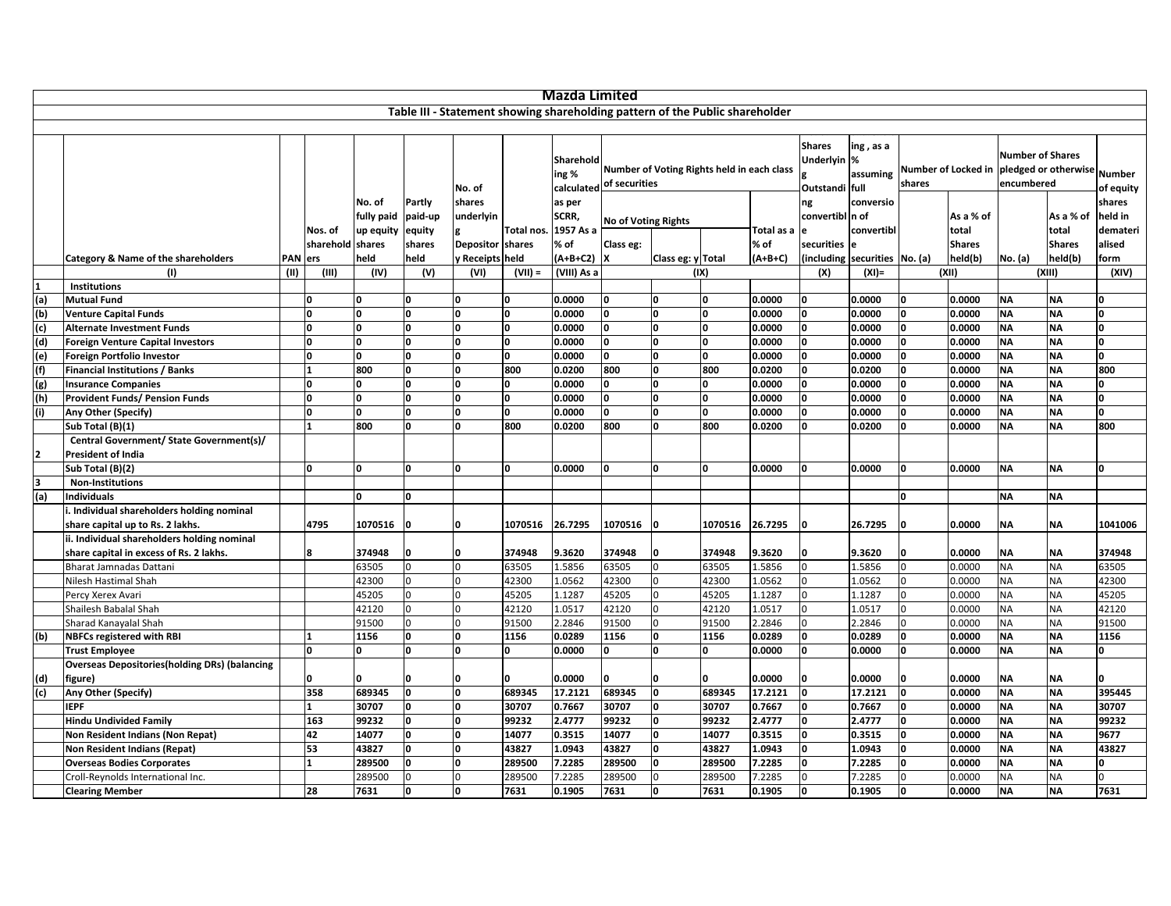|                |                                                       |            |                             |                      |                   |                     |                  | Mazda Limited      |                                                                              |                                            |              |                    |                                                           |                               |              |                        |                                       |                                                 |                    |
|----------------|-------------------------------------------------------|------------|-----------------------------|----------------------|-------------------|---------------------|------------------|--------------------|------------------------------------------------------------------------------|--------------------------------------------|--------------|--------------------|-----------------------------------------------------------|-------------------------------|--------------|------------------------|---------------------------------------|-------------------------------------------------|--------------------|
|                |                                                       |            |                             |                      |                   |                     |                  |                    | Table III - Statement showing shareholding pattern of the Public shareholder |                                            |              |                    |                                                           |                               |              |                        |                                       |                                                 |                    |
|                |                                                       |            |                             |                      |                   |                     |                  |                    |                                                                              |                                            |              |                    |                                                           |                               |              |                        |                                       |                                                 |                    |
|                |                                                       |            |                             |                      |                   | No. of              |                  | Sharehold<br>ing % | calculated of securities                                                     | Number of Voting Rights held in each class |              |                    | <b>Shares</b><br>Underlyin <sub>%</sub><br>Outstandi full | ing, as a<br>assuming         | shares       |                        | <b>Number of Shares</b><br>encumbered | Number of Locked in pledged or otherwise Number | of equity          |
|                |                                                       |            |                             | No. of<br>fully paid | Partly<br>paid-up | shares<br>underlyin |                  | as per<br>SCRR,    |                                                                              | ng<br><b>No of Voting Rights</b>           |              |                    | convertibl In of                                          | conversio                     |              | As a % of              |                                       | As a % of                                       | shares<br>held in  |
|                |                                                       |            | Nos. of<br>sharehold shares | up equity            | equity<br>shares  | Depositor shares    | <b>Total nos</b> | 1957 As a<br>% of  | Class eg:                                                                    |                                            |              | Total as a<br>% of | e<br>securities le                                        | convertibl                    |              | total<br><b>Shares</b> |                                       | total<br><b>Shares</b>                          | demateri<br>alised |
|                | Category & Name of the shareholders                   | <b>PAN</b> | ers                         | held                 | held              | y Receipts held     |                  | (A+B+C2)           | lχ                                                                           | Class eg: y Total                          |              | $(A+B+C)$          |                                                           | (including securities No. (a) |              | held(b)                | No. (a)                               | held(b)                                         | form               |
|                | (1)                                                   | (II)       | (III)                       | (IV)                 | (V)               | (VI)                | $(VII) =$        | (VIII) As a        |                                                                              |                                            | (IX)         |                    | (X)                                                       | $(XI) =$                      |              | (XII)                  |                                       | (XIII)                                          | (XIV)              |
| 1              | <b>Institutions</b>                                   |            |                             |                      |                   |                     |                  |                    |                                                                              |                                            |              |                    |                                                           |                               |              |                        |                                       |                                                 |                    |
| (a)            | <b>Mutual Fund</b>                                    |            | O                           | 0                    |                   | n                   | <sup>0</sup>     | 0.0000             | O                                                                            | n                                          | O            | 0.0000             | 0                                                         | 0.0000                        | <sup>0</sup> | 0.0000                 | <b>NA</b>                             | <b>NA</b>                                       | n                  |
| $\frac{1}{2}$  | <b>Venture Capital Funds</b>                          |            | <sup>0</sup>                | O                    | n                 | n                   | <b>l</b>         | 0.0000             | O                                                                            | 'n                                         | $\Omega$     | 0.0000             | O                                                         | 0.0000                        | n            | 0.0000                 | <b>NA</b>                             | <b>NA</b>                                       | O                  |
|                | <b>Alternate Investment Funds</b>                     |            | <sup>0</sup>                | O                    |                   | $\Omega$            | <b>l</b>         | 0.0000             | O                                                                            | <b>l</b>                                   |              | 0.0000             |                                                           | 0.0000                        | <sup>0</sup> | 0.0000                 | <b>ΝΑ</b>                             | <b>NA</b>                                       | O                  |
| (d)            | <b>Foreign Venture Capital Investors</b>              |            | <sup>0</sup>                | O                    | $\Omega$          | <sup>0</sup>        | O                | 0.0000             | O                                                                            | ۱n                                         | $\Omega$     | 0.0000             |                                                           | 0.0000                        | n            | 0.0000                 | <b>ΝΑ</b>                             | <b>NA</b>                                       | O                  |
| (e)            | <b>Foreign Portfolio Investor</b>                     |            | <b>n</b>                    | O                    |                   | <sup>o</sup>        | O                | 0.0000             | <b>O</b>                                                                     | ۱n                                         | n            | 0.0000             |                                                           | 0.0000                        | <sup>0</sup> | 0.0000                 | <b>NA</b>                             | <b>NA</b>                                       | O                  |
| (f)            | <b>Financial Institutions / Banks</b>                 |            |                             | 800                  | n                 | <b>n</b>            | 800              | 0.0200             | 800                                                                          | ۱n                                         | 800          | 0.0200             |                                                           | 0.0200                        |              | 0.0000                 | <b>NA</b>                             | <b>NA</b>                                       | 800                |
| $\overline{g}$ | <b>Insurance Companies</b>                            |            | <sup>0</sup>                | <sup>0</sup>         | n                 | O                   | O                | 0.0000             | O                                                                            | <b>l</b>                                   | $\Omega$     | 0.0000             |                                                           | 0.0000                        | <sup>0</sup> | 0.0000                 | <b>NA</b>                             | <b>NA</b>                                       | O                  |
| (h)            | <b>Provident Funds/ Pension Funds</b>                 |            | n                           | O                    | n                 | n                   | O                | 0.0000             | o                                                                            | O                                          | n            | 0.0000             |                                                           | 0.0000                        | n            | 0.0000                 | <b>NA</b>                             | <b>NA</b>                                       | O                  |
| (i)            | Any Other (Specify)                                   |            | l0.                         | O                    | n                 | <sup>o</sup>        | O                | 0.0000             | O                                                                            | <b>l</b>                                   | l0.          | 0.0000             |                                                           | 0.0000                        | n            | 0.0000                 | <b>NA</b>                             | <b>NA</b>                                       | O                  |
|                | Sub Total (B)(1)                                      |            | 1                           | 800                  | ۱n                | 'n                  | 800              | 0.0200             | 800                                                                          | O                                          | 800          | 0.0200             | I۵                                                        | 0.0200                        | n            | 0.0000                 | <b>NA</b>                             | <b>NA</b>                                       | 800                |
|                | Central Government/ State Government(s)/              |            |                             |                      |                   |                     |                  |                    |                                                                              |                                            |              |                    |                                                           |                               |              |                        |                                       |                                                 |                    |
| 2              | <b>President of India</b>                             |            |                             |                      |                   |                     |                  |                    |                                                                              |                                            |              |                    |                                                           |                               |              |                        |                                       |                                                 |                    |
|                | Sub Total (B)(2)                                      |            | <b>n</b>                    | O                    | $\Omega$          | <sup>0</sup>        | O                | 0.0000             | I٥                                                                           | 0                                          | ۱O           | 0.0000             |                                                           | 0.0000                        | <sup>0</sup> | 0.0000                 | <b>NA</b>                             | <b>NA</b>                                       | O                  |
| 3              | <b>Non-Institutions</b>                               |            |                             |                      |                   |                     |                  |                    |                                                                              |                                            |              |                    |                                                           |                               |              |                        |                                       |                                                 |                    |
| (a)            | ndividuals                                            |            |                             | 0                    | n                 |                     |                  |                    |                                                                              |                                            |              |                    |                                                           |                               | O            |                        | <b>NA</b>                             | <b>NA</b>                                       |                    |
|                | . Individual shareholders holding nominal             |            |                             |                      |                   |                     |                  |                    |                                                                              |                                            |              |                    |                                                           |                               |              |                        |                                       |                                                 |                    |
|                | share capital up to Rs. 2 lakhs.                      |            | 4795                        | 1070516              |                   | <sup>0</sup>        | 1070516          | 26.7295            | 1070516                                                                      | ١o                                         | 1070516      | 26.7295            | ۱O                                                        | 26.7295                       | n            | 0.0000                 | <b>NA</b>                             | <b>NA</b>                                       | 1041006            |
|                | ii. Individual shareholders holding nominal           |            |                             |                      |                   |                     |                  |                    |                                                                              |                                            |              |                    |                                                           |                               |              |                        |                                       |                                                 |                    |
|                | share capital in excess of Rs. 2 lakhs.               |            | 8                           | 374948               |                   | n                   | 374948           | 9.3620             | 374948                                                                       | n                                          | 374948       | 9.3620             | 0                                                         | 9.3620                        |              | 0.0000                 | <b>NA</b>                             | <b>NA</b>                                       | 374948             |
|                | Bharat Jamnadas Dattani                               |            |                             | 63505                |                   | n                   | 63505            | 1.5856             | 63505                                                                        | $\Omega$                                   | 63505        | 1.5856             |                                                           | 1.5856                        |              | 0.0000                 | <b>NA</b>                             | <b>NA</b>                                       | 63505              |
|                | Nilesh Hastimal Shah                                  |            |                             | 42300                |                   |                     | 42300            | 1.0562             | 42300                                                                        |                                            | 42300        | 1.0562             |                                                           | 1.0562                        |              | 0.0000                 | <b>NA</b>                             | <b>NA</b>                                       | 42300              |
|                | Percy Xerex Avari                                     |            |                             | 45205                |                   |                     | 45205            | 1.1287             | 45205                                                                        |                                            | 45205        | 1.1287             |                                                           | 1.1287                        |              | 0.0000                 | <b>NA</b>                             | <b>NA</b>                                       | 45205              |
|                | Shailesh Babalal Shah                                 |            |                             | 42120                |                   |                     | 42120            | 1.0517             | 42120                                                                        |                                            | 42120        | 1.0517             |                                                           | 1.0517                        |              | 0.0000                 | NA                                    | <b>NA</b>                                       | 42120              |
|                | Sharad Kanayalal Shah                                 |            |                             | 91500                |                   | $\Omega$            | 91500            | 2.2846             | 91500                                                                        |                                            | 91500        | 2.2846             |                                                           | 2.2846                        |              | 0.0000                 | <b>NA</b>                             | <b>NA</b>                                       | 91500              |
| (b)            | <b>NBFCs registered with RBI</b>                      |            |                             | 1156                 | O                 | 'n                  | 1156             | 0.0289             | 1156                                                                         | ۱o                                         | 1156         | 0.0289             | $\Omega$                                                  | 0.0289                        | <sup>0</sup> | 0.0000                 | <b>NA</b>                             | <b>NA</b>                                       | 1156               |
|                | <b>Trust Employee</b>                                 |            | <sup>0</sup>                | O                    | $\Omega$          | <sup>0</sup>        | O                | 0.0000             | O                                                                            | O                                          | <sup>0</sup> | 0.0000             | $\Omega$                                                  | 0.0000                        | <sup>0</sup> | 0.0000                 | <b>NA</b>                             | <b>NA</b>                                       | O                  |
|                | <b>Overseas Depositories (holding DRs) (balancing</b> |            |                             |                      |                   |                     |                  |                    |                                                                              |                                            |              |                    |                                                           |                               |              |                        |                                       |                                                 |                    |
| (d)            | figure)                                               |            | n                           | 0                    | ۱O                | O                   | O                | 0.0000             | n                                                                            | <b>n</b>                                   | 0            | 0.0000             | ۱O                                                        | 0.0000                        | n            | 0.0000                 | <b>NA</b>                             | <b>NA</b>                                       | O                  |
| $\overline{c}$ | Any Other (Specify)                                   |            | 358                         | 689345               | o                 | O                   | 689345           | 17.2121            | 689345                                                                       | O                                          | 689345       | 17.2121            | O                                                         | 17.2121                       | I٥           | 0.0000                 | <b>NA</b>                             | <b>NA</b>                                       | 395445             |
|                | <b>IEPF</b>                                           |            | $\mathbf{1}$                | 30707                | n                 | O                   | 30707            | 0.7667             | 30707                                                                        | O                                          | 30707        | 0.7667             | <sup>n</sup>                                              | 0.7667                        | 0            | 0.0000                 | <b>NA</b>                             | <b>NA</b>                                       | 30707              |
|                | <b>Hindu Undivided Family</b>                         |            | 163                         | 99232                | $\Omega$          | <b>n</b>            | 99232            | 2.4777             | 99232                                                                        | O                                          | 99232        | 2.4777             | $\Omega$                                                  | 2.4777                        | O            | 0.0000                 | <b>ΝΑ</b>                             | <b>NA</b>                                       | 99232              |
|                | Non Resident Indians (Non Repat)                      |            | 42                          | 14077                | O                 | O                   | 14077            | 0.3515             | 14077                                                                        | O                                          | 14077        | 0.3515             | $\Omega$                                                  | 0.3515                        | 0            | 0.0000                 | <b>NA</b>                             | <b>NA</b>                                       | 9677               |
|                | <b>Non Resident Indians (Repat)</b>                   |            | 53                          | 43827                | $\Omega$          | O                   | 43827            | 1.0943             | 43827                                                                        | O                                          | 43827        | 1.0943             | $\Omega$                                                  | 1.0943                        | 0            | 0.0000                 | NΑ                                    | <b>NA</b>                                       | 43827              |
|                | <b>Overseas Bodies Corporates</b>                     |            | $\mathbf{1}$                | 289500               | <sup>0</sup>      | O                   | 289500           | 7.2285             | 289500                                                                       | O                                          | 289500       | 7.2285             | <b>O</b>                                                  | 7.2285                        | ١o           | 0.0000                 | <b>NA</b>                             | <b>NA</b>                                       | $\mathbf{0}$       |
|                | Croll-Reynolds International Inc.                     |            |                             | 289500               |                   | $\Omega$            | 289500           | 7.2285             | 289500                                                                       | $\Omega$                                   | 289500       | 7.2285             | $\Omega$                                                  | 7.2285                        | 0            | 0.0000                 | <b>NA</b>                             | <b>NA</b>                                       | $\Omega$           |
|                | <b>Clearing Member</b>                                |            | 28                          | 7631                 | 0                 | O                   | 7631             | 0.1905             | 7631                                                                         | O                                          | 7631         | 0.1905             | 0                                                         | 0.1905                        | 0            | 0.0000                 | <b>NA</b>                             | <b>NA</b>                                       | 7631               |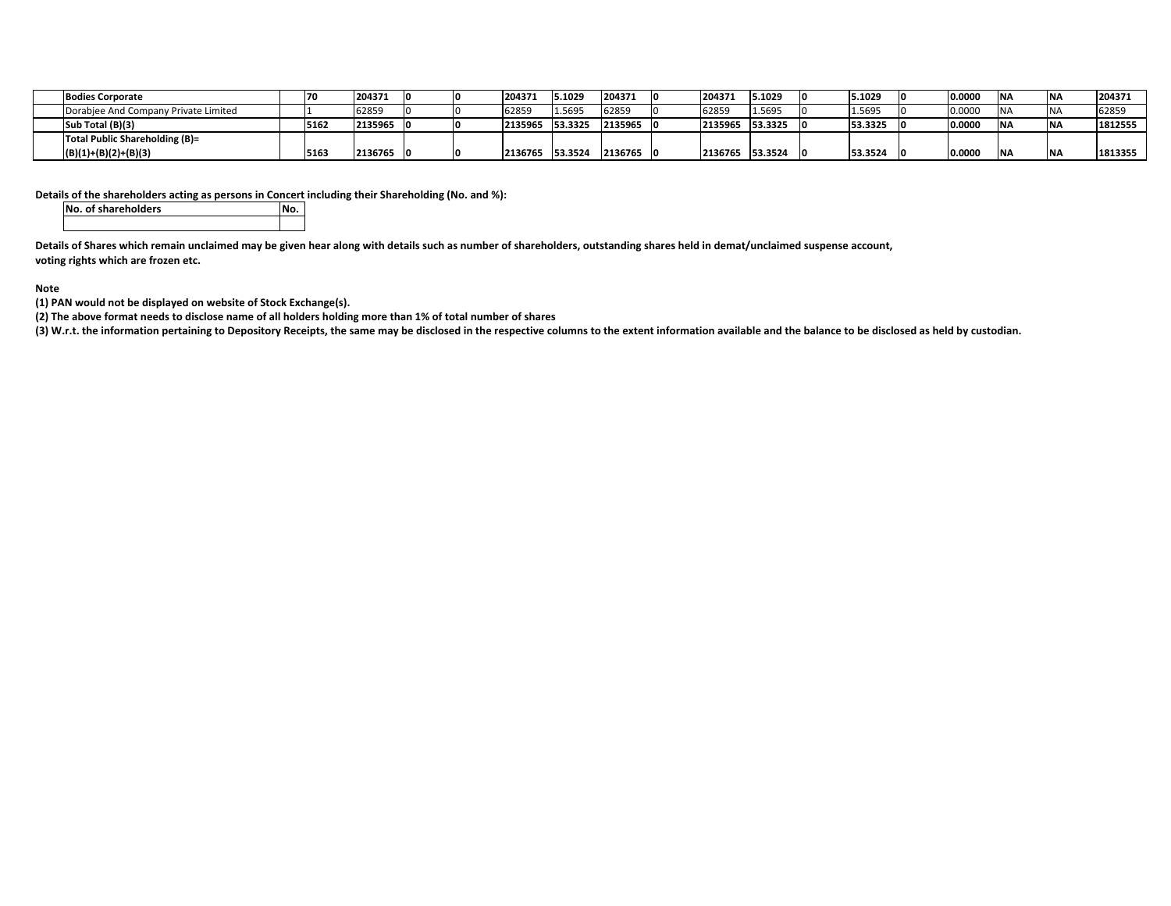| <b>Bodies Corporate</b>              | 170  | 204371  |  | 204371  | 5.1029  | 204371  | 204371  | 5.1029  | 5.1029  |     | 0.0000 | <b>NA</b> | 204371  |
|--------------------------------------|------|---------|--|---------|---------|---------|---------|---------|---------|-----|--------|-----------|---------|
| Dorabjee And Company Private Limited |      | 62859   |  | 62859   | 1.5695  | 62859   | 62859   | 1.5695  | 1.5695  |     | 0.0000 | N         | 62859   |
| Sub Total (B)(3)                     | 5162 | 2135965 |  | 2135965 | 53.3325 | 2135965 | 2135965 | 53.3325 | 53.3325 | -10 | 0.0000 | <b>NA</b> | 1812555 |
| Total Public Shareholding (B)=       |      |         |  |         |         |         |         |         |         |     |        |           |         |
| $(B)(1)+(B)(2)+(B)(3)$               | 516  | 2136765 |  | 2136765 | 53.3524 | 2136765 | 2136765 | 53.3524 | 53.3524 |     | 0.0000 | IN/       | 1813355 |

## **Details of the shareholders acting as persons in Concert including their Shareholding (No. and %):**

**No. of shareholders No.**

Details of Shares which remain unclaimed may be given hear along with details such as number of shareholders, outstanding shares held in demat/unclaimed suspense account, **voting rights which are frozen etc.**

## **Note**

**(1) PAN would not be displayed on website of Stock Exchange(s).**

(2) The above format needs to disclose name of all holders holding more than 1% of total number of shares

(3) W.r.t. the information pertaining to Depository Receipts, the same may be disclosed in the respective columns to the extent information available and the balance to be disclosed as held by custodian.